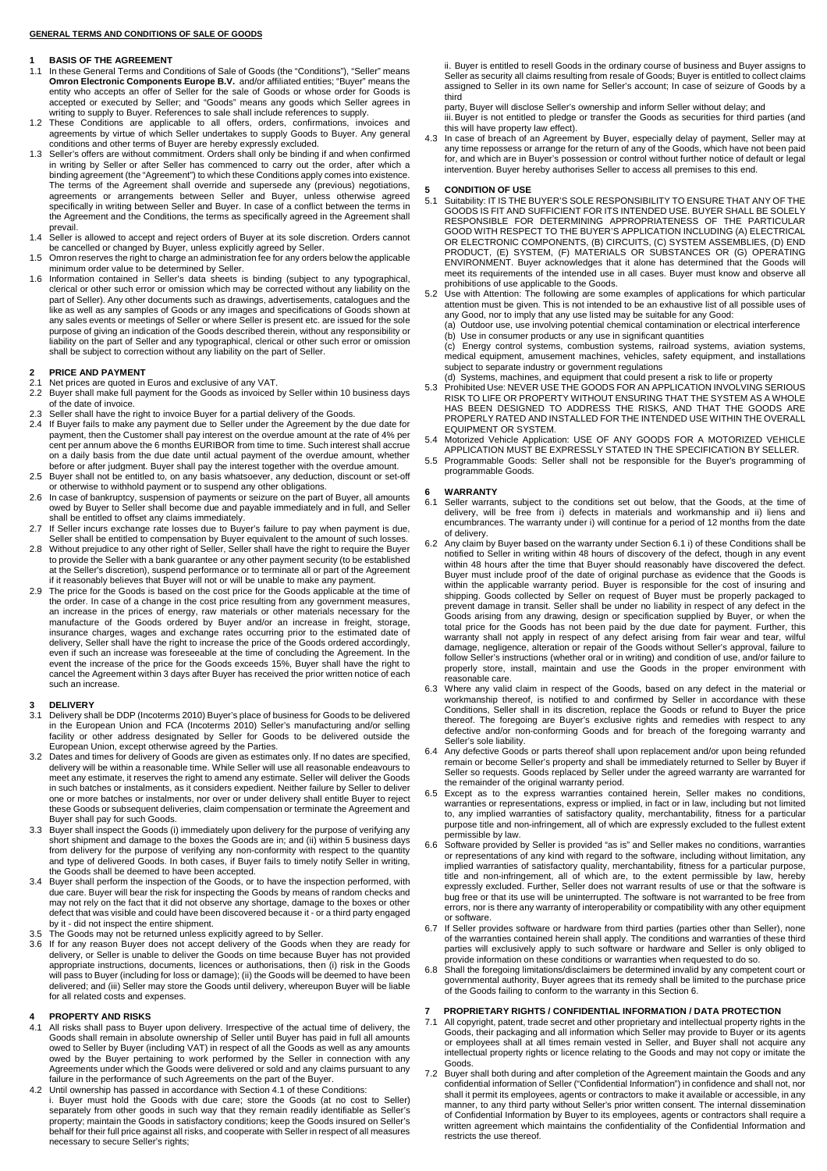### **GENERAL TERMS AND CONDITIONS OF SALE OF GOODS**

#### **1 BASIS OF THE AGREEMENT**

- 1.1 In these General Terms and Conditions of Sale of Goods (the "Conditions"), "Seller" means **Omron Electronic Components Europe B.V.** and/or affiliated entities; "Buyer" means the entity who accepts an offer of Seller for the sale of Goods or whose order for Goods is accepted or executed by Seller; and "Goods" means any goods which Seller agrees in writing to supply to Buyer. References to sale shall include references to supply.
- 1.2 These Conditions are applicable to all offers, orders, confirmations, invoices and agreements by virtue of which Seller undertakes to supply Goods to Buyer. Any general conditions and other terms of Buyer are hereby expressly excluded.
- 1.3 Seller's offers are without commitment. Orders shall only be binding if and when confirmed in writing by Seller or after Seller has commenced to carry out the order, after which a binding agreement (the "Agreement") to which these Conditions apply comes into existence. The terms of the Agreement shall override and supersede any (previous) negotiations, agreements or arrangements between Seller and Buyer, unless otherwise agreed specifically in writing between Seller and Buyer. In case of a conflict between the terms in the Agreement and the Conditions, the terms as specifically agreed in the Agreement shall prevail.
- 1.4 Seller is allowed to accept and reject orders of Buyer at its sole discretion. Orders cannot be cancelled or changed by Buyer, unless explicitly agreed by Seller. 1.5 Omron reserves the right to charge an administration fee for any orders below the applicable
- minimum order value to be determined by Seller.
- 1.6 Information contained in Seller's data sheets is binding (subject to any typographical, clerical or other such error or omission which may be corrected without any liability on the part of Seller). Any other documents such as drawings, advertisements, catalogues and the like as well as any samples of Goods or any images and specifications of Goods shown at any sales events or meetings of Seller or where Seller is present etc. are issued for the sole purpose of giving an indication of the Goods described therein, without any responsibility or<br>liability on the part of Seller and any typographical, clerical or other such error or omission<br>shall be subject to correction w

# **2 PRICE AND PAYMENT**<br> **2.1** Net prices are quoted in

- 2.1 Net prices are quoted in Euros and exclusive of any VAT.<br>2.2 Buyer shall make full nayment for the Goods as invoiced
- 2.2 Buyer shall make full payment for the Goods as invoiced by Seller within 10 business days of the date of invoice.
- 2.3 Seller shall have the right to invoice Buyer for a partial delivery of the Goods.
- 2.4 If Buyer fails to make any payment due to Seller under the Agreement by the due date for payment, then the Customer shall pay interest on the overdue amount at the rate of 4% per cent per annum above the 6 months EURIBOR from time to time. Such interest shall accrue on a daily basis from the due date until actual payment of the overdue amount, whether before or after judgment. Buyer shall pay the interest together with the overdue amount.
- 2.5 Buyer shall not be entitled to, on any basis whatsoever, any deduction, discount or set-off or otherwise to withhold payment or to suspend any other obligations.
- 2.6 In case of bankruptcy, suspension of payments or seizure on the part of Buyer, all amounts owed by Buyer to Seller shall become due and payable immediately and in full, and Seller shall be entitled to offset any claims immediately.
- 2.7 If Seller incurs exchange rate losses due to Buyer's failure to pay when payment is due, Seller shall be entitled to compensation by Buyer equivalent to the amount of such losses.
- 2.8 Without prejudice to any other right of Seller, Seller shall have the right to require the Buyer to provide the Seller with a bank guarantee or any other payment security (to be established at the Seller's discretion), suspend performance or to terminate all or part of the Agreement if it reasonably believes that Buyer will not or will be unable to make any payment
- 2.9 The price for the Goods is based on the cost price for the Goods applicable at the time of the order. In case of a change in the cost price resulting from any government measures, an increase in the prices of energy, raw materials or other materials necessary for the<br>manufacture of the Goods ordered by Buyer and/or an increase in freight, storage,<br>insurance charges, wages and exchange rates occurrin delivery, Seller shall have the right to increase the price of the Goods ordered accordingly, even if such an increase was foreseeable at the time of concluding the Agreement. In the event the increase of the price for the Goods exceeds 15%, Buyer shall have the right to cancel the Agreement within 3 days after Buyer has received the prior written notice of each such an increase.

# **3** DELIVERY

- 3.1 Delivery shall be DDP (Incoterms 2010) Buyer's place of business for Goods to be delivered in the European Union and FCA (Incoterms 2010) Seller's manufacturing and/or selling facility or other address designated by Seller for Goods to be delivered outside the European Union, except otherwise agreed by the Parties.<br>3.2 Dates and times for delivery of Goods are given as estimates only. If no date
- delivery will be within a reasonable time. While Seller will use all reasonable endeavours to meet any estimate, it reserves the right to amend any estimate. Seller will deliver the Goods in such batches or instalments, as it considers expedient. Neither failure by Seller to deliver one or more batches or instalments, nor over or under delivery shall entitle Buyer to reject these Goods or subsequent deliveries, claim compensation or terminate the Agreement and Buyer shall pay for such Goods.
- 3.3 Buyer shall inspect the Goods (i) immediately upon delivery for the purpose of verifying any short shipment and damage to the boxes the Goods are in; and (ii) within 5 business days from delivery for the purpose of verifying any non-conformity with respect to the quantity and type of delivered Goods. In both cases, if Buyer fails to timely notify Seller in writing, the Goods shall be deemed to have been accepted.<br>3.4 Buyer shall perform the inspection of the Goods, or to have the inspection
- due care. Buyer will bear the risk for inspecting the Goods by means of random checks and may not rely on the fact that it did not observe any shortage, damage to the boxes or other defect that was visible and could have been discovered because it - or a third party engaged by it - did not inspect the entire shipment.
- 
- 3.5 The Goods may not be returned unless explicitly agreed to by Seller. 3.6 If for any reason Buyer does not accept delivery of the Goods when they are ready for delivery, or Seller is unable to deliver the Goods on time because Buyer has not provided appropriate instructions, documents, licences or authorisations, then (i) risk in the Goods will pass to Buyer (including for loss or damage); (ii) the Goods will be deemed to have been delivered; and (iii) Seller may store the Goods until delivery, whereupon Buyer will be liable for all related costs and expenses.

# **4 PROPERTY AND RISKS**<br>4.1 All risks shall pass to Buy

- 4.1 All risks shall pass to Buyer upon delivery. Irrespective of the actual time of delivery, the Goods shall remain in absolute ownership of Seller until Buyer has paid in full all amounts owed to Seller by Buyer (including VAT) in respect of all the Goods as well as any amounts owed by the Buyer pertaining to work performed by the Seller in connection with any Agreements under which the Goods were delivered or sold and any claims pursuant to any failure in the performance of such Agreements on the part of the Buyer. 4.2 Until ownership has passed in accordance with Section 4.1 of these Conditions:
- i. Buyer must hold the Goods with due care; store the Goods (at no cost to Seller) separately from other goods in such way that they remain readily identifiable as Seller's property; maintain the Goods in satisfactory conditions; keep the Goods insured on Seller's behalf for their full price against all risks, and cooperate with Seller in respect of all measures necessary to secure Seller's rights;

ii. Buyer is entitled to resell Goods in the ordinary course of business and Buyer assigns to Seller as security all claims resulting from resale of Goods; Buyer is entitled to collect claims assigned to Seller in its own name for Seller's account; In case of seizure of Goods by a third

party, Buyer will disclose Seller's ownership and inform Seller without delay; and iii. Buyer is not entitled to pledge or transfer the Goods as securities for third parties (and this will have property law effect).

4.3 In case of breach of an Agreement by Buyer, especially delay of payment, Seller may at any time repossess or arrange for the return of any of the Goods, which have not been paid for, and which are in Buyer's possession or control without further notice of default or legal intervention. Buyer hereby authorises Seller to access all premises to this end.

#### **5 CONDITION OF USE**

- 5.1 Suitability: IT IS THE BUYER'S SOLE RESPONSIBILITY TO ENSURE THAT ANY OF THE GOODS IS FIT AND SUFFICIENT FOR ITS INTENDED USE. BUYER SOLELY<br>RESPONSIBLE FOR DETERMINING APPROPRIATENESS OF THE PARTICULAR<br>RESPONSIBLE FOR OR ELECTRONIC COMPONENTS, (B) CIRCUITS, (C) SYSTEM ASSEMBLIES, (D) END PRODUCT, (E) SYSTEM, (F) MATERIALS OR SUBSTANCES OR (G) OPERATING ENVIRONMENT. Buyer acknowledges that it alone has determined that the Goods will meet its requirements of the intended use in all cases. Buyer must know and observe all
- prohibitions of use applicable to the Goods.<br>5.2 Use with Attention: The following are some examples of applications for which particular<br>attention must be given. This is not intended to be an exhaustive list of all possib any Good, nor to imply that any use listed may be suitable for any Good:<br>(a) Outdoor use, use involving potential chemical contamination or electrical interference<br>(b) Use in consumer products or any use in significant q
- 

(c) Energy control systems, combustion systems, railroad systems, aviation systems, medical equipment, amusement machines, vehicles, safety equipment, and installations subject to separate industry or government regulations

- (d) Systems, machines, and equipment that could present a risk to life or property 5.3 Prohibited Use: NEVER USE THE GOODS FOR AN APPLICATION INVOLVING SERIOUS
- RISK TO LIFE OR PROPERTY WITHOUT ENSURING THAT THE SYSTEM AS A WHOLE HAS BEEN DESIGNED TO ADDRESS THE RISKS, AND THAT THE GOODS ARE PROPERLY RATED AND INSTALLED FOR THE INTENDED USE WITHIN THE OVERALL EQUIPMENT OR SYSTEM.
- 5.4 Motorized Vehicle Application: USE OF ANY GOODS FOR A MOTORIZED VEHICLE APPLICATION MUST BE EXPRESSLY STATED IN THE SPECIFICATION BY SELLER.
- 5.5 Programmable Goods: Seller shall not be responsible for the Buyer's programming of programmable Goods.

- **6 WARRANTY**<br>6.1 Seller warran 6.1 Seller warrants, subject to the conditions set out below, that the Goods, at the time of delivery, will be free from i) defects in materials and workmanship and ii) liens and encumbrances. The warranty under i) will continue for a period of 12 months from the date
- of delivery. 6.2 Any claim by Buyer based on the warranty under Section 6.1 i) of these Conditions shall be notified to Seller in writing within 48 hours of discovery of the defect, though in any event within 48 hours after the time that Buyer should reasonably have discovered the defect. Buyer must include proof of the date of original purchase as evidence that the Goods is within the applicable warranty period. Buyer is responsible for the cost of insuring and shipping. Goods collected by Seller on request of Buyer must be properly packaged to prevent damage in transit. Seller shall be under no liability in respect of any defect in the Goods arising from any drawing, design or specification supplied by Buyer, or when the total price for the Goods has not been paid by the due date for payment. Further, this warranty shall not apply in respect of any defect arising from fair wear and tear, wilful damage, negligence, alteration or repair of the Goods without Seller's approval, failure to follow Seller's instructions (whether oral or in writing) and condition of use, and/or failure to properly store, install, maintain and use the Goods in the proper environment with reasonable care.
- 6.3 Where any valid claim in respect of the Goods, based on any defect in the material or workmanship thereof, is notified to and confirmed by Seller in accordance with these Conditions, Seller shall in its discretion, replace the Goods or refund to Buyer the price thereof. The foregoing are Buyer's exclusive rights and remedies with respect to any defective and/or non-conforming Goods and for breach of the foregoing warranty and Seller's sole liability.
- 6.4 Any defective Goods or parts thereof shall upon replacement and/or upon being refunded remain or become Seller's property and shall be immediately returned to Seller by Buyer if Seller so requests. Goods replaced by Seller under the agreed warranty are warranted for
- the remainder of the original warranty period. 6.5 Except as to the express warranties contained herein, Seller makes no conditions, warranties or representations, express or implied, in fact or in law, including but not limited to, any implied warranties of satisfactory quality, merchantability, fitness for a particular purpose title and non-infringement, all of which are expressly excluded to the fullest extent permissible by law.
- 6.6 Software provided by Seller is provided "as is" and Seller makes no conditions, warranties<br>or representations of any kind with regard to the software, including without limitation, any<br>implied warranties of satisfactor bug free or that its use will be uninterrupted. The software is not warranted to be free from errors, nor is there any warranty of interoperability or compatibility with any other equipment or software.
- 6.7 If Seller provides software or hardware from third parties (parties other than Seller), none of the warranties contained herein shall apply. The conditions and warranties of these third parties will exclusively apply to such software or hardware and Seller is only obliged to provide information on these conditions or warranties when requested to do so.
- 6.8 Shall the foregoing limitations/disclaimers be determined invalid by any competent court or governmental authority, Buyer agrees that its remedy shall be limited to the purchase price of the Goods failing to conform to the warranty in this Section 6.

### **7 PROPRIETARY RIGHTS / CONFIDENTIAL INFORMATION / DATA PROTECTION**

- 7.1 All copyright, patent, trade secret and other proprietary and intellectual property rights in the Goods, their packaging and all information which Seller may provide to Buyer or its agents or employees shall at all times remain vested in Seller, and Buyer shall not acquire any intellectual property rights or licence relating to the Goods and may not copy or imitate the Goods.
- 7.2 Buyer shall both during and after completion of the Agreement maintain the Goods and any confidential information of Seller ("Confidential Information") in confidence and shall not, nor shall it permit its employees, agents or contractors to make it available or accessible, in any manner, to any third party without Seller's prior written consent. The internal dissemination of Confidential Information by Buyer to its employees, agents or contractors shall require a written agreement which maintains the confidentiality of the Confidential Information and restricts the use thereof.